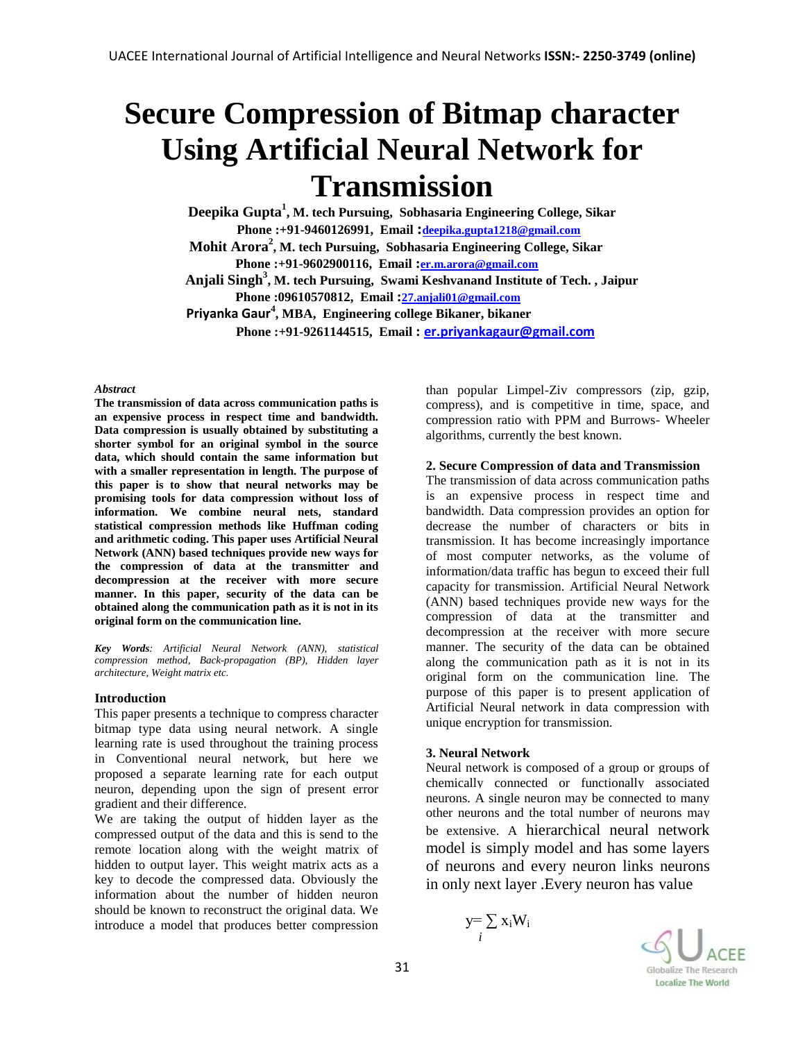# **Secure Compression of Bitmap character Using Artificial Neural Network for Transmission**

**Deepika Gupta<sup>1</sup> , M. tech Pursuing, Sobhasaria Engineering College, Sikar** 

 **Phone :+91-9460126991, Email :[deepika.gupta1218@gmail.com](mailto:deepika.gupta1218@gmail.com)**

**Mohit Arora<sup>2</sup> , M. tech Pursuing, Sobhasaria Engineering College, Sikar** 

 **Phone :+91-9602900116, Email :[er.m.arora@gmail.com](mailto:er.m.arora@gmail.com)**

 **Anjali Singh<sup>3</sup> , M. tech Pursuing, Swami Keshvanand Institute of Tech. , Jaipur Phone :09610570812, Email :[27.anjali01@gmail.com](mailto:27.anjali01@gmail.com)**

 **Priyanka Gaur<sup>4</sup> , MBA, Engineering college Bikaner, bikaner** 

 **Phone :+91-9261144515, Email : [er.priyankagaur@gmail.com](mailto:er.priyankagaur@gmail.com)**

#### *Abstract*

**The transmission of data across communication paths is an expensive process in respect time and bandwidth. Data compression is usually obtained by substituting a shorter symbol for an original symbol in the source data, which should contain the same information but with a smaller representation in length. The purpose of this paper is to show that neural networks may be promising tools for data compression without loss of information. We combine neural nets, standard statistical compression methods like Huffman coding and arithmetic coding. This paper uses Artificial Neural Network (ANN) based techniques provide new ways for the compression of data at the transmitter and decompression at the receiver with more secure manner. In this paper, security of the data can be obtained along the communication path as it is not in its original form on the communication line.** 

*Key Words: Artificial Neural Network (ANN), statistical compression method, Back-propagation (BP), Hidden layer architecture, Weight matrix etc.*

## **Introduction**

This paper presents a technique to compress character bitmap type data using neural network. A single learning rate is used throughout the training process in Conventional neural network, but here we proposed a separate learning rate for each output neuron, depending upon the sign of present error gradient and their difference.

We are taking the output of hidden layer as the compressed output of the data and this is send to the remote location along with the weight matrix of hidden to output layer. This weight matrix acts as a key to decode the compressed data. Obviously the information about the number of hidden neuron should be known to reconstruct the original data. We introduce a model that produces better compression

than popular Limpel-Ziv compressors (zip, gzip, compress), and is competitive in time, space, and compression ratio with PPM and Burrows- Wheeler algorithms, currently the best known.

## **2. Secure Compression of data and Transmission**

The transmission of data across communication paths is an expensive process in respect time and bandwidth. Data compression provides an option for decrease the number of characters or bits in transmission. It has become increasingly importance of most computer networks, as the volume of information/data traffic has begun to exceed their full capacity for transmission. Artificial Neural Network (ANN) based techniques provide new ways for the compression of data at the transmitter and decompression at the receiver with more secure manner. The security of the data can be obtained along the communication path as it is not in its original form on the communication line. The purpose of this paper is to present application of Artificial Neural network in data compression with unique encryption for transmission.

## **3. Neural Network**

Neural network is composed of a group or groups of chemically connected or functionally associated neurons. A single neuron may be connected to many other neurons and the total number of neurons may be extensive. A hierarchical neural network model is simply model and has some layers of neurons and every neuron links neurons in only next layer .Every neuron has value

$$
y = \sum_i x_i W_i
$$

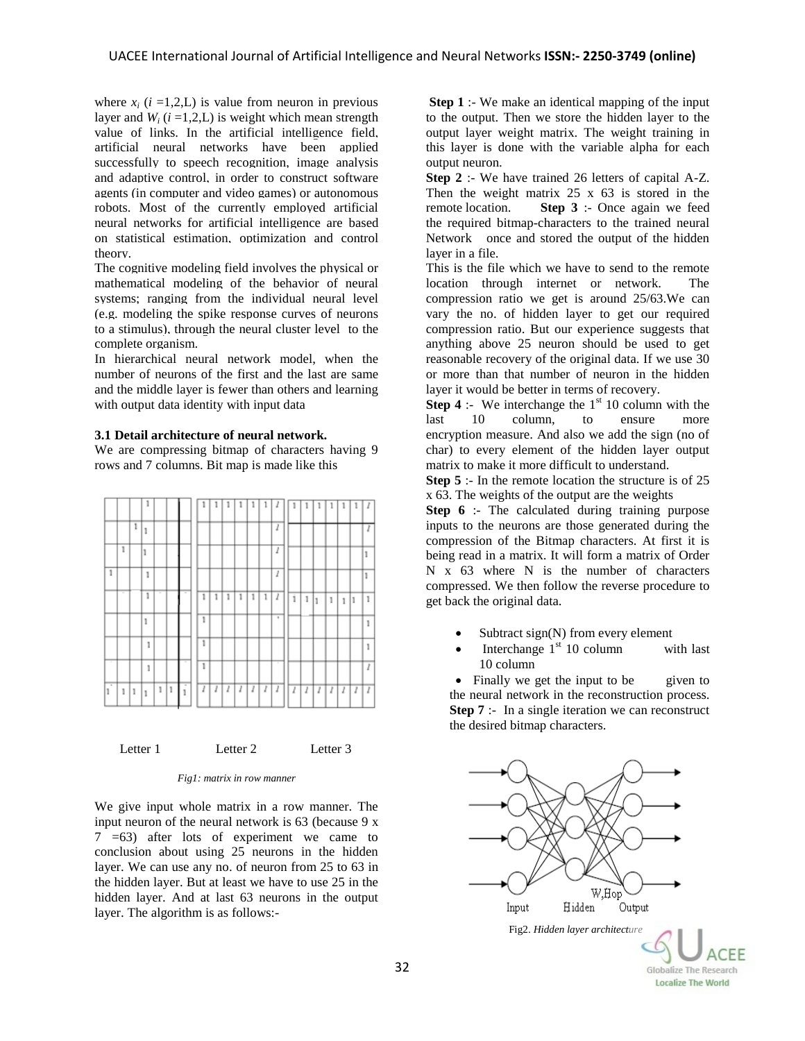where  $x_i$  ( $i = 1,2, L$ ) is value from neuron in previous layer and  $W_i$  ( $i = 1,2, L$ ) is weight which mean strength value of links. In the [artificial intelligence](http://en.wikipedia.org/wiki/Artificial_intelligence) field, artificial neural networks have been applied successfully to [speech recognition,](http://en.wikipedia.org/wiki/Speech_recognition) [image analysis](http://en.wikipedia.org/wiki/Image_analysis) and adaptive [control,](http://en.wikipedia.org/wiki/Control) in order to construct [software](http://en.wikipedia.org/wiki/Software_agents)  [agents](http://en.wikipedia.org/wiki/Software_agents) (in [computer and video games\)](http://en.wikipedia.org/wiki/Video_game) or [autonomous](http://en.wikipedia.org/wiki/Autonomous_robot)  [robots.](http://en.wikipedia.org/wiki/Autonomous_robot) Most of the currently employed artificial neural networks for artificial intelligence are based on [statistical estimation,](http://en.wikipedia.org/wiki/Statistical_estimation) [optimization](http://en.wikipedia.org/wiki/Optimization_%28mathematics%29) and [control](http://en.wikipedia.org/wiki/Control_theory)  [theory.](http://en.wikipedia.org/wiki/Control_theory)

The [cognitive modeling](http://en.wikipedia.org/wiki/Cognitive_modelling) field involves the physical or mathematical modeling of the behavior of neural systems; ranging from the individual neural level (e.g. modeling the spike response curves of neurons to a stimulus), through the neural cluster level to the complete organism.

In hierarchical neural network model, when the number of neurons of the first and the last are same and the middle layer is fewer than others and learning with output data identity with input data

#### **3.1 Detail architecture of neural network.**

We are compressing bitmap of characters having 9 rows and 7 columns. Bit map is made like this



Letter 1 Letter 2 Letter 3

*Fig1: matrix in row manner*

We give input whole matrix in a row manner. The input neuron of the neural network is 63 (because 9 x 7 =63) after lots of experiment we came to conclusion about using 25 neurons in the hidden layer. We can use any no. of neuron from 25 to 63 in the hidden layer. But at least we have to use 25 in the hidden layer. And at last 63 neurons in the output layer. The algorithm is as follows:-

**Step 1** :- We make an identical mapping of the input to the output. Then we store the hidden layer to the output layer weight matrix. The weight training in this layer is done with the variable alpha for each output neuron.

**Step 2** :- We have trained 26 letters of capital A-Z. Then the weight matrix 25 x 63 is stored in the remote location. **Step 3** :- Once again we feed the required bitmap-characters to the trained neural Network once and stored the output of the hidden layer in a file.

This is the file which we have to send to the remote location through internet or network. The compression ratio we get is around 25/63.We can vary the no. of hidden layer to get our required compression ratio. But our experience suggests that anything above 25 neuron should be used to get reasonable recovery of the original data. If we use 30 or more than that number of neuron in the hidden layer it would be better in terms of recovery.

**Step 4** :- We interchange the  $1<sup>st</sup> 10$  column with the last 10 column, to ensure more encryption measure. And also we add the sign (no of char) to every element of the hidden layer output matrix to make it more difficult to understand.

**Step 5** :- In the remote location the structure is of 25 x 63. The weights of the output are the weights

**Step 6** :- The calculated during training purpose inputs to the neurons are those generated during the compression of the Bitmap characters. At first it is being read in a matrix. It will form a matrix of Order N x 63 where N is the number of characters compressed. We then follow the reverse procedure to get back the original data.

- $\bullet$  Subtract sign(N) from every element
- Interchange  $1<sup>st</sup> 10$  column with last 10 column

• Finally we get the input to be given to the neural network in the reconstruction process. **Step 7** :- In a single iteration we can reconstruct the desired bitmap characters.



Localize The World

32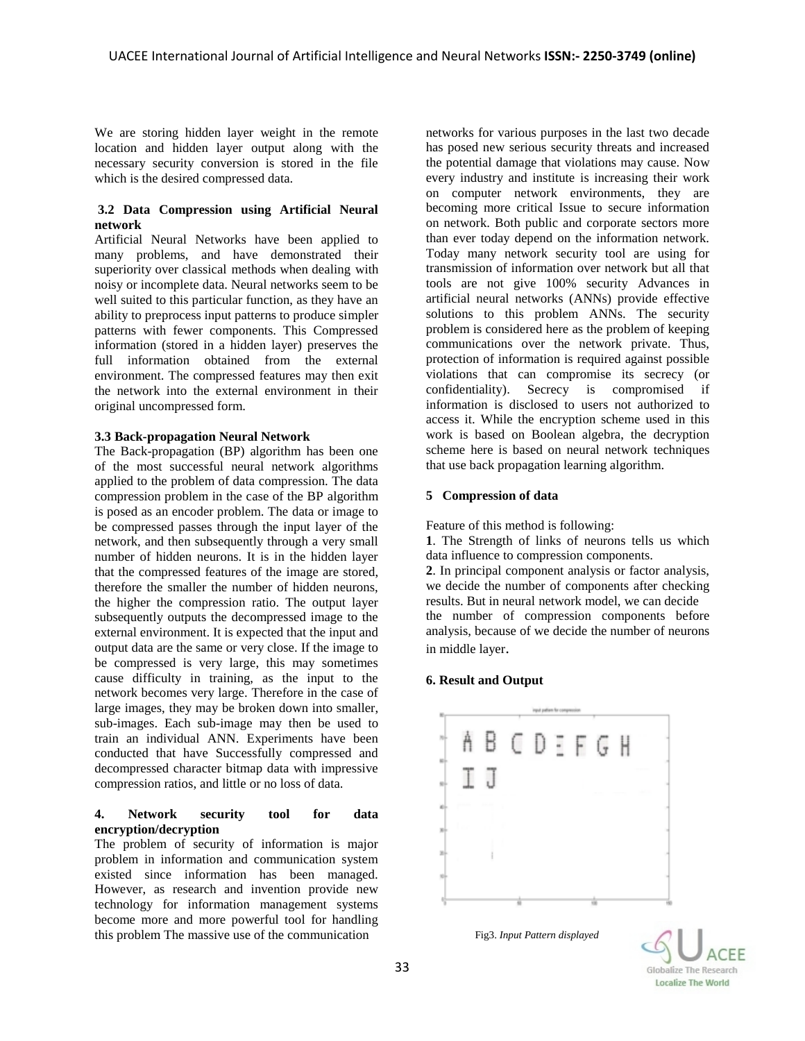We are storing hidden layer weight in the remote location and hidden layer output along with the necessary security conversion is stored in the file which is the desired compressed data.

#### **3.2 Data Compression using Artificial Neural network**

Artificial Neural Networks have been applied to many problems, and have demonstrated their superiority over classical methods when dealing with noisy or incomplete data. Neural networks seem to be well suited to this particular function, as they have an ability to preprocess input patterns to produce simpler patterns with fewer components. This Compressed information (stored in a hidden layer) preserves the full information obtained from the external environment. The compressed features may then exit the network into the external environment in their original uncompressed form.

## **3.3 Back-propagation Neural Network**

The Back-propagation (BP) algorithm has been one of the most successful neural network algorithms applied to the problem of data compression. The data compression problem in the case of the BP algorithm is posed as an encoder problem. The data or image to be compressed passes through the input layer of the network, and then subsequently through a very small number of hidden neurons. It is in the hidden layer that the compressed features of the image are stored, therefore the smaller the number of hidden neurons, the higher the compression ratio. The output layer subsequently outputs the decompressed image to the external environment. It is expected that the input and output data are the same or very close. If the image to be compressed is very large, this may sometimes cause difficulty in training, as the input to the network becomes very large. Therefore in the case of large images, they may be broken down into smaller, sub-images. Each sub-image may then be used to train an individual ANN. Experiments have been conducted that have Successfully compressed and decompressed character bitmap data with impressive compression ratios, and little or no loss of data.

## **4. Network security tool for data encryption/decryption**

The problem of security of information is major problem in information and communication system existed since information has been managed. However, as research and invention provide new technology for information management systems become more and more powerful tool for handling this problem The massive use of the communication

networks for various purposes in the last two decade has posed new serious security threats and increased the potential damage that violations may cause. Now every industry and institute is increasing their work on computer network environments, they are becoming more critical Issue to secure information on network. Both public and corporate sectors more than ever today depend on the information network. Today many network security tool are using for transmission of information over network but all that tools are not give 100% security Advances in artificial neural networks (ANNs) provide effective solutions to this problem ANNs. The security problem is considered here as the problem of keeping communications over the network private. Thus, protection of information is required against possible violations that can compromise its secrecy (or confidentiality). Secrecy is compromised if information is disclosed to users not authorized to access it. While the encryption scheme used in this work is based on Boolean algebra, the decryption scheme here is based on neural network techniques that use back propagation learning algorithm.

## **5 Compression of data**

Feature of this method is following:

**1**. The Strength of links of neurons tells us which data influence to compression components.

**2**. In principal component analysis or factor analysis, we decide the number of components after checking results. But in neural network model, we can decide the number of compression components before analysis, because of we decide the number of neurons in middle layer.

## **6. Result and Output**



Localize The World